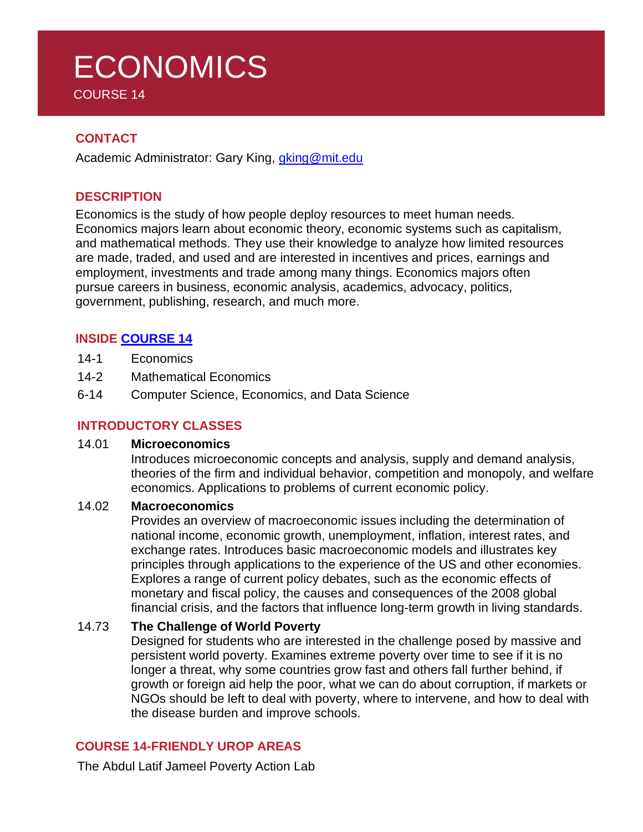# **ECONOMICS** COURSE 14

## **CONTACT**

Academic Administrator: Gary King, *gking@mit.edu* 

## **DESCRIPTION**

Economics is the study of how people deploy resources to meet human needs. Economics majors learn about economic theory, economic systems such as capitalism, and mathematical methods. They use their knowledge to analyze how limited resources are made, traded, and used and are interested in incentives and prices, earnings and employment, investments and trade among many things. Economics majors often pursue careers in business, economic analysis, academics, advocacy, politics, government, publishing, research, and much more.

## **INSIDE [COURSE](https://economics.mit.edu/under/majors) 14**

- 14-1 Economics
- 14-2 Mathematical Economics
- 6-14 Computer Science, Economics, and Data Science

## **INTRODUCTORY CLASSES**

#### 14.01 **Microeconomics**

Introduces microeconomic concepts and analysis, supply and demand analysis, theories of the firm and individual behavior, competition and monopoly, and welfare economics. Applications to problems of current economic policy.

#### 14.02 **Macroeconomics**

Provides an overview of macroeconomic issues including the determination of national income, economic growth, unemployment, inflation, interest rates, and exchange rates. Introduces basic macroeconomic models and illustrates key principles through applications to the experience of the US and other economies. Explores a range of current policy debates, such as the economic effects of monetary and fiscal policy, the causes and consequences of the 2008 global financial crisis, and the factors that influence long-term growth in living standards.

## 14.73 **The Challenge of World Poverty**

Designed for students who are interested in the challenge posed by massive and persistent world poverty. Examines extreme poverty over time to see if it is no longer a threat, why some countries grow fast and others fall further behind, if growth or foreign aid help the poor, what we can do about corruption, if markets or NGOs should be left to deal with poverty, where to intervene, and how to deal with the disease burden and improve schools.

## **COURSE 14-FRIENDLY UROP AREAS**

The Abdul Latif Jameel Poverty Action Lab